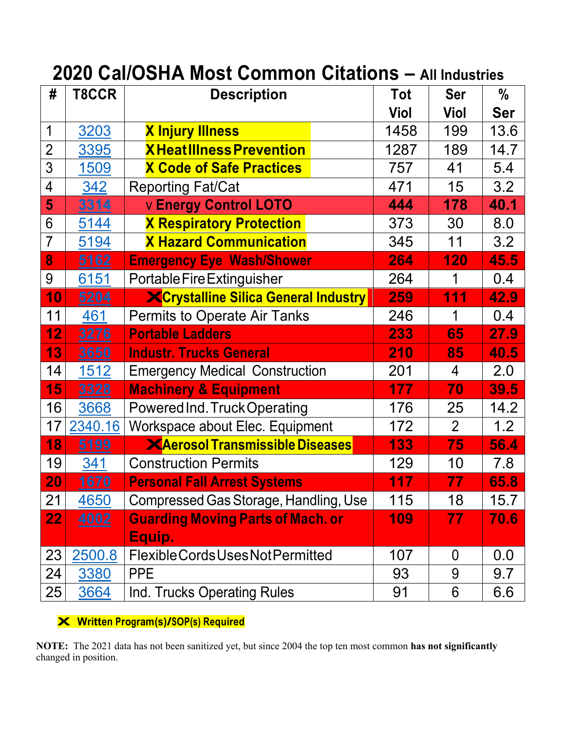| #               | T8CCR        | <b>Description</b>                          | Tot  | <b>Ser</b>     | $\frac{0}{0}$ |
|-----------------|--------------|---------------------------------------------|------|----------------|---------------|
|                 |              |                                             | Viol | Viol           | <b>Ser</b>    |
| 1               | 3203         | <b>X Injury Illness</b>                     | 1458 | 199            | 13.6          |
| $\overline{2}$  | 3395         | <b>XHeatIllness Prevention</b>              | 1287 | 189            | 14.7          |
| 3               | 1509         | <b>X Code of Safe Practices</b>             | 757  | 41             | 5.4           |
| $\overline{4}$  | 342          | <b>Reporting Fat/Cat</b>                    | 471  | 15             | 3.2           |
| 5               | 3314         | <b>v Energy Control LOTO</b>                | 444  | 178            | 40.1          |
| 6               | 5144         | <b>X Respiratory Protection</b>             | 373  | 30             | 8.0           |
| $\overline{7}$  | 5194         | <b>X Hazard Communication</b>               | 345  | 11             | 3.2           |
| 8               | 5162         | <b>Emergency Eye Wash/Shower</b>            | 264  | 120            | 45.5          |
| 9               | 6151         | Portable Fire Extinguisher                  | 264  | 1              | 0.4           |
| 10              | 5204         | <b>XCrystalline Silica General Industry</b> | 259  | 111            | 42.9          |
| 11              | 461          | <b>Permits to Operate Air Tanks</b>         | 246  | 1              | 0.4           |
| 12              | 3276         | <b>Portable Ladders</b>                     | 233  | 65             | 27.9          |
| 13              | 3650         | <b>Industr. Trucks General</b>              | 210  | 85             | 40.5          |
| 14              | 1512         | <b>Emergency Medical Construction</b>       | 201  | 4              | 2.0           |
| 15              | 3328         | <b>Machinery &amp; Equipment</b>            | 177  | 70             | 39.5          |
| 16              | 3668         | Powered Ind. Truck Operating                | 176  | 25             | 14.2          |
| 17              | 2340.16      | Workspace about Elec. Equipment             | 172  | $\overline{2}$ | 1.2           |
| 18              | 5199         | <b>XAerosol Transmissible Diseases</b>      | 133  | 75             | 56.4          |
| 19              | 341          | <b>Construction Permits</b>                 | 129  | 10             | 7.8           |
| 20              | <u> 1670</u> | <b>Personal Fall Arrest Systems</b>         | 117  | 77             | 65.8          |
| $\overline{21}$ | 4650         | Compressed Gas Storage, Handling, Use       | 115  | 18             | 15.7          |
| 22 <sub>2</sub> | 4002         | <b>Guarding Moving Parts of Mach. or</b>    | 109  | 77             | 70.6          |
|                 |              | Equip.                                      |      |                |               |
| 23              | 2500.8       | Flexible Cords Uses Not Permitted           | 107  | $\overline{0}$ | 0.0           |
| 24              | 3380         | <b>PPE</b>                                  | 93   | 9              | 9.7           |
| 25              | 3664         | Ind. Trucks Operating Rules                 | 91   | 6              | 6.6           |

**X Written Program(s)/SOP(s) Required**

**NOTE:** The 2021 data has not been sanitized yet, but since 2004 the top ten most common **has not significantly** changed in position.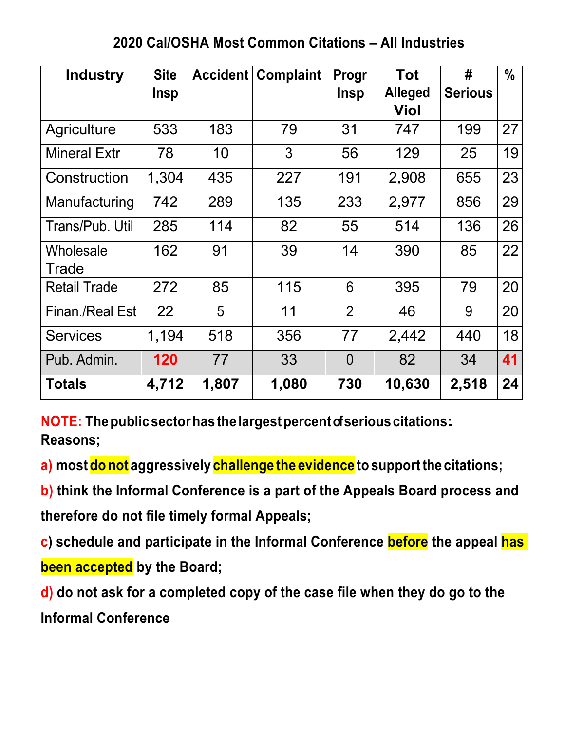# **2020 Cal/OSHA Most Common Citations – All Industries**

| <b>Industry</b>      | <b>Site</b><br><b>Insp</b> | Accident | <b>Complaint</b> | Progr<br><b>Insp</b> | <b>Tot</b><br><b>Alleged</b><br>Viol | #<br><b>Serious</b> | $\frac{0}{0}$ |
|----------------------|----------------------------|----------|------------------|----------------------|--------------------------------------|---------------------|---------------|
| <b>Agriculture</b>   | 533                        | 183      | 79               | 31                   | 747                                  | 199                 | 27            |
| <b>Mineral Extr</b>  | 78                         | 10       | 3                | 56                   | 129                                  | 25                  | 19            |
| Construction         | 1,304                      | 435      | 227              | 191                  | 2,908                                | 655                 | 23            |
| <b>Manufacturing</b> | 742                        | 289      | 135              | 233                  | 2,977                                | 856                 | 29            |
| Trans/Pub. Util      | 285                        | 114      | 82               | 55                   | 514                                  | 136                 | 26            |
| Wholesale<br>Trade   | 162                        | 91       | 39               | 14                   | 390                                  | 85                  | 22            |
| <b>Retail Trade</b>  | 272                        | 85       | 115              | 6                    | 395                                  | 79                  | 20            |
| Finan./Real Est      | 22                         | 5        | 11               | $\overline{2}$       | 46                                   | 9                   | 20            |
| <b>Services</b>      | 1,194                      | 518      | 356              | 77                   | 2,442                                | 440                 | 18            |
| Pub. Admin.          | 120                        | 77       | 33               | $\overline{0}$       | 82                                   | 34                  | 41            |
| <b>Totals</b>        | 4,712                      | 1,807    | 1,080            | 730                  | 10,630                               | 2,518               | 24            |

**NOTE: Thepublicsectorhasthelargestpercentof seriouscitations:. Reasons;**

**a) most do not aggressively challenge the evidence to supportthe citations;**

**b) think the Informal Conference is a part of the Appeals Board process and therefore do not file timely formal Appeals;**

**c) schedule and participate in the Informal Conference before the appeal has been accepted by the Board;**

**d) do not ask for a completed copy of the case file when they do go to the Informal Conference**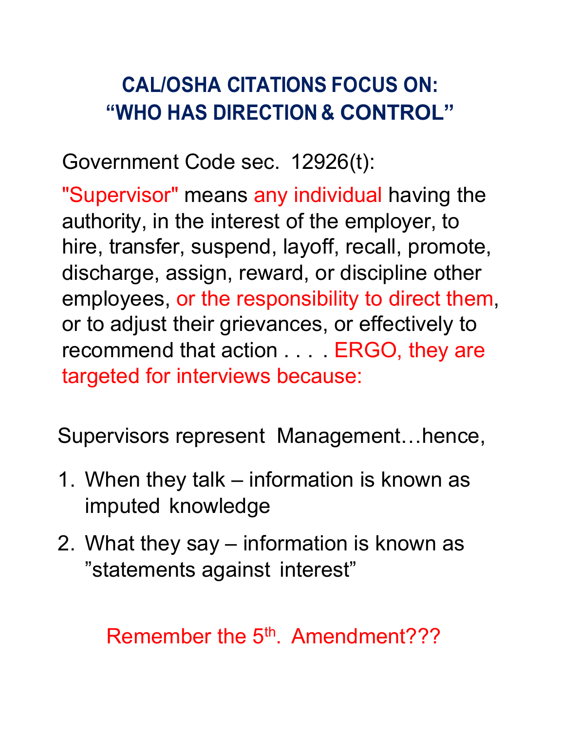# **CAL/OSHA CITATIONS FOCUS ON: "WHO HAS DIRECTION & CONTROL"**

Government Code sec. 12926(t):

"Supervisor" means any individual having the authority, in the interest of the employer, to hire, transfer, suspend, layoff, recall, promote, discharge, assign, reward, or discipline other employees, or the responsibility to direct them, or to adjust their grievances, or effectively to recommend that action . . . . ERGO, they are targeted for interviews because:

Supervisors represent Management…hence,

- 1. When they talk information is known as imputed knowledge
- 2. What they say information is known as "statements against interest"

Remember the 5<sup>th</sup>. Amendment???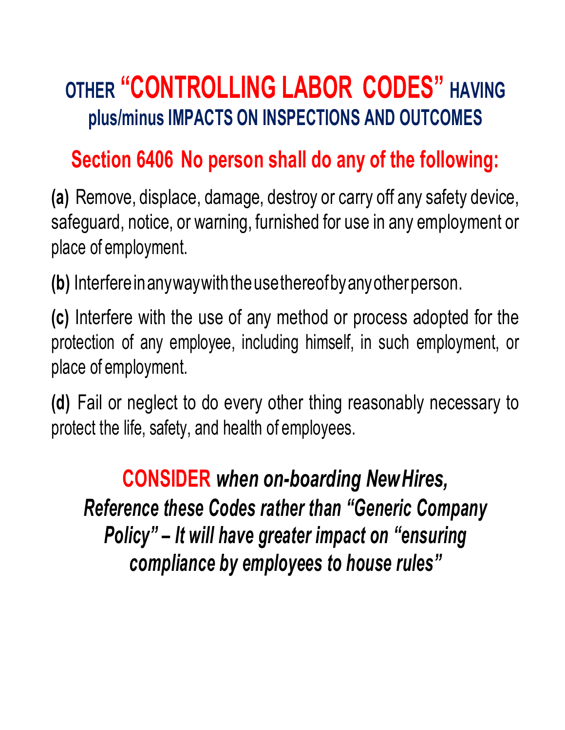# **OTHER "CONTROLLING LABOR CODES" HAVING plus/minus IMPACTS ON INSPECTIONS AND OUTCOMES**

# **Section 6406 No person shall do any of the following:**

**(a)** Remove, displace, damage, destroy or carry off any safety device, safeguard, notice, or warning, furnished for use in any employment or place of employment.

**(b)** Interfereinanywaywiththeusethereofbyanyotherperson.

**(c)** Interfere with the use of any method or process adopted for the protection of any employee, including himself, in such employment, or place of employment.

**(d)** Fail or neglect to do every other thing reasonably necessary to protect the life, safety, and health of employees.

**CONSIDER** *when on-boarding NewHires, Reference these Codes rather than "Generic Company Policy" – It will have greater impact on "ensuring compliance by employees to house rules"*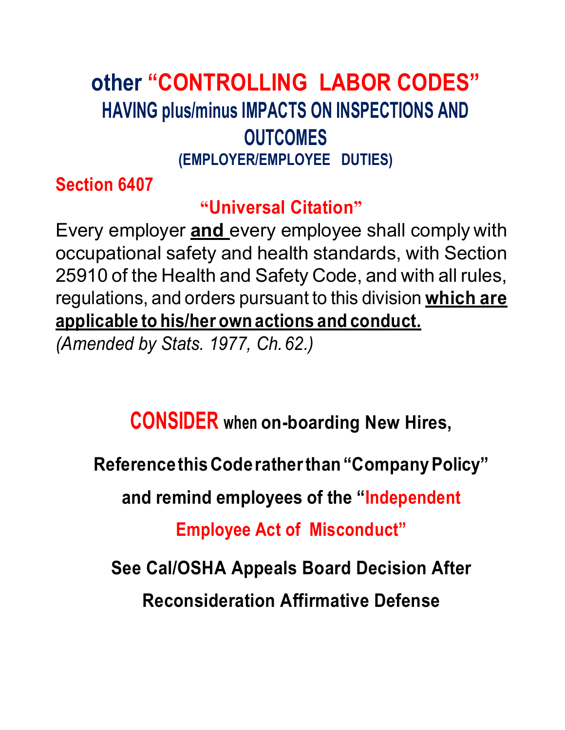# **other "CONTROLLING LABOR CODES" HAVING plus/minus IMPACTS ON INSPECTIONS AND OUTCOMES (EMPLOYER/EMPLOYEE DUTIES)**

**Section 6407**

# **"Universal Citation"**

Every employer **and** every employee shall comply with occupational safety and health standards, with Section 25910 of the Health and Safety Code, and with all rules, regulations, and orders pursuant to this division **which are applicable to his/her own actions and conduct.**

*(Amended by Stats. 1977, Ch.62.)*

# **CONSIDER when on-boarding New Hires,**

**Reference this Code ratherthan"CompanyPolicy"**

**and remind employees of the "Independent** 

**Employee Act of Misconduct"** 

**See Cal/OSHA Appeals Board Decision After** 

**Reconsideration Affirmative Defense**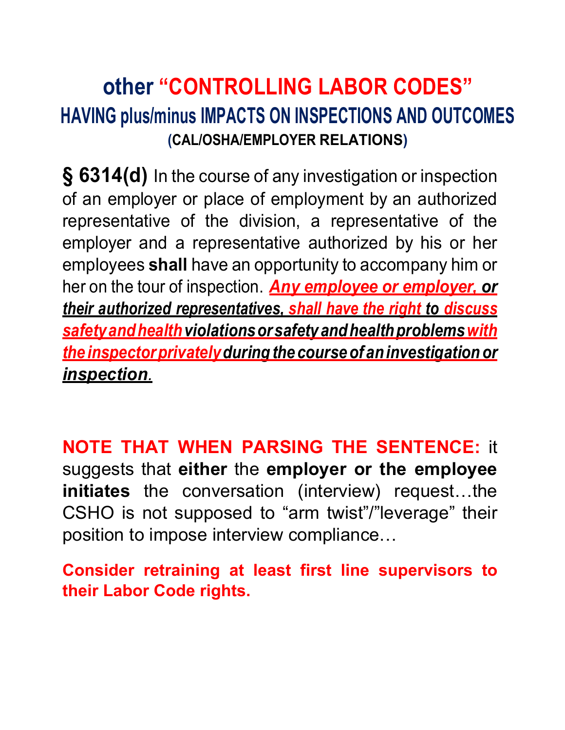# **other "CONTROLLING LABOR CODES" HAVING plus/minus IMPACTS ON INSPECTIONS AND OUTCOMES (CAL/OSHA/EMPLOYER RELATIONS)**

**§ 6314(d)** In the course of any investigation or inspection of an employer or place of employment by an authorized representative of the division, a representative of the employer and a representative authorized by his or her employees **shall** have an opportunity to accompany him or her on the tour of inspection. *Any employee or employer, or their authorized representatives, shall have the right to discuss safetyandhealthviolationsorsafetyandhealthproblemswith theinspectorprivatelyduringthecourseof aninvestigationor inspection.*

**NOTE THAT WHEN PARSING THE SENTENCE:** it suggests that **either** the **employer or the employee initiates** the conversation (interview) request…the CSHO is not supposed to "arm twist"/"leverage" their position to impose interview compliance…

**Consider retraining at least first line supervisors to their Labor Code rights.**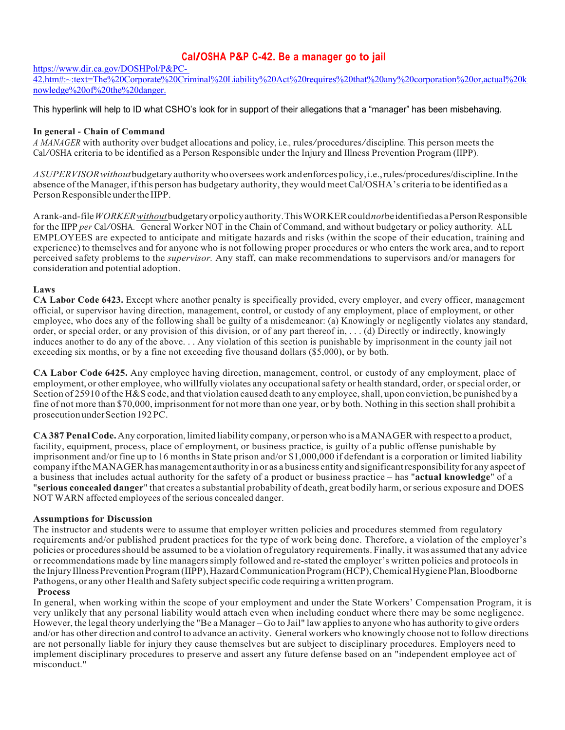## **Cal/OSHA P&P C-42. Be <sup>a</sup> manager go to jail**

https://www.dir.ca.gov/DOSHPol/P&PC-

42.htm#:~:text=The%20Corporate%20Criminal%20Liability%20Act%20requires%20that%20any%20corporation%20or,actual%20k nowledge%20of%20the%20danger.

This hyperlink will help to ID what CSHO's look for in support of their allegations that a "manager" has been misbehaving.

#### **In general - Chain of Command**

*A MANAGER* with authority over budget allocations and policy, i.e., rules/procedures/discipline. This person meets the Cal/OSHA criteria to be identified as <sup>a</sup> Person Responsible under the Injury and Illness Prevention Program (IIPP).

*ASUPERVISORwithout*budgetary authoritywhooverseeswork andenforces policy,i.e.,rules/procedures/discipline.In the absence ofthe Manager, ifthis person has budgetary authority, they would meetCal/OSHA's criteria to be identified as a PersonResponsible underthe IIPP.

Arank-and-file WORKER without budgetary or policy authority. This WORKER could not be identified as a Person Responsible for the IIPP *per* Cal/OSHA. General Worker NOT in the Chain of Command, and without budgetary or policy authority. ALL EMPLOYEES are expected to anticipate and mitigate hazards and risks (within the scope of their education, training and experience) to themselves and for anyone who is not following proper procedures or who enters the work area, and to report perceived safety problems to the *supervisor.* Any staff, can make recommendations to supervisors and/or managers for consideration and potential adoption.

#### **Laws**

**CA Labor Code 6423.** Except where another penalty is specifically provided, every employer, and every officer, management official, or supervisor having direction, management, control, or custody of any employment, place of employment, or other employee, who does any of the following shall be guilty of a misdemeanor: (a) Knowingly or negligently violates any standard, order, or special order, or any provision of this division, or of any part thereof in, . . . (d) Directly or indirectly, knowingly induces another to do any of the above. . . Any violation of this section is punishable by imprisonment in the county jail not exceeding six months, or by a fine not exceeding five thousand dollars (\$5,000), or by both.

**CA Labor Code 6425.** Any employee having direction, management, control, or custody of any employment, place of employment, or other employee, who willfully violates any occupational safety or health standard, order, or special order, or Section of 25910 of the H&S code, and that violation caused death to any employee, shall, upon conviction, be punished by a fine of not more than \$70,000, imprisonment for not more than one year, or by both. Nothing in thissection shall prohibit a prosecutionunderSection192PC.

**CA 387 PenalCode.**Any corporation,limited liability company, or personwho is aMANAGER with respectto a product, facility, equipment, process, place of employment, or business practice, is guilty of a public offense punishable by imprisonment and/or fine up to 16 months in State prison and/or \$1,000,000 if defendant is a corporation or limited liability company iftheMANAGERhasmanagement authority in or as a business entity and significantresponsibility for any aspectof a business that includes actual authority for the safety of a product or business practice – has "**actual knowledge**" of a "**serious concealed danger**" that creates a substantial probability of death, great bodily harm, orserious exposure and DOES NOT WARN affected employees of the serious concealed danger.

#### **Assumptions for Discussion**

The instructor and students were to assume that employer written policies and procedures stemmed from regulatory requirements and/or published prudent practices for the type of work being done. Therefore, a violation of the employer's policies or proceduresshould be assumed to be a violation ofregulatory requirements. Finally, it was assumed that any advice orrecommendations made by line managerssimply followed and re-stated the employer's written policies and protocols in the Injury Illness Prevention Program (IIPP), Hazard Communication Program (HCP), Chemical Hygiene Plan, Bloodborne Pathogens, or any other Health and Safety subjectspecific code requiring a written program.

#### **Process**

In general, when working within the scope of your employment and under the State Workers' Compensation Program, it is very unlikely that any personal liability would attach even when including conduct where there may be some negligence. However, the legal theory underlying the "Be a Manager – Go to Jail" law appliesto anyone who has authority to give orders and/or has other direction and control to advance an activity. General workers who knowingly choose not to follow directions are not personally liable for injury they cause themselves but are subject to disciplinary procedures. Employers need to implement disciplinary procedures to preserve and assert any future defense based on an "independent employee act of misconduct."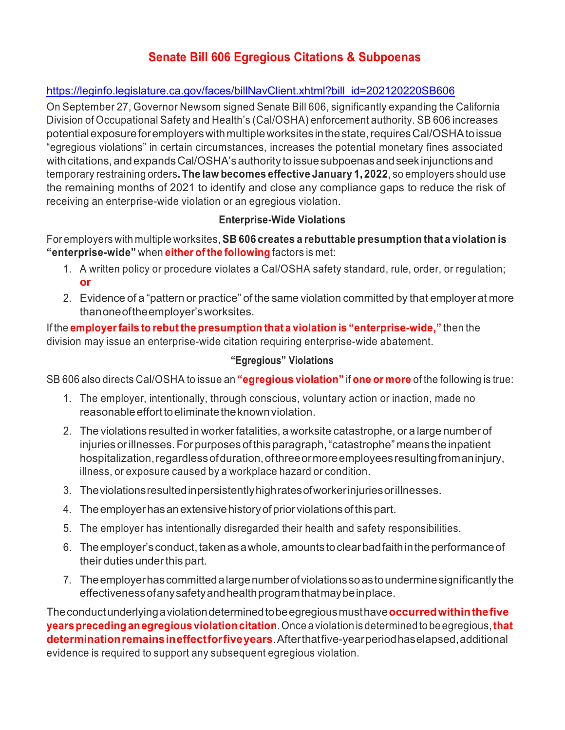## **Senate Bill 606 Egregious Citations & Subpoenas**

## https://leginfo.legislature.ca.gov/faces/billNavClient.xhtml?bill\_id=202120220SB606

On September 27, Governor Newsom signed Senate Bill 606, significantly expanding the California Division of Occupational Safety and Health's (Cal/OSHA) enforcement authority. SB 606 increases potentialexposureforemployerswithmultipleworksitesinthestate,requiresCal/OSHAtoissue "egregious violations" in certain circumstances, increases the potential monetary fines associated with citations, and expands Cal/OSHA's authority to issue subpoenas and seek injunctions and temporary restraining orders**. The law becomes effective January 1, 2022**, so employers should use the remaining months of 2021 to identify and close any compliance gaps to reduce the risk of receiving an enterprise-wide violation or an egregious violation.

## **Enterprise-Wide Violations**

## For employers with multiple worksites, **SB 606 creates a rebuttable presumption that a violation is "enterprise-wide"** when **either of the following** factors is met:

- 1. A written policy or procedure violates a Cal/OSHA safety standard, rule, order, or regulation; **or**
- 2. Evidence of a "pattern or practice" of the same violation committed by that employer at more thanoneoftheemployer'sworksites.

If the **employerfails to rebut the presumption that a violation is "enterprise-wide,"** then the division may issue an enterprise-wide citation requiring enterprise-wide abatement.

## **"Egregious" Violations**

SB 606 also directs Cal/OSHA to issue an **"egregious violation"** if **one or more** of the following is true:

- 1. The employer, intentionally, through conscious, voluntary action or inaction, made no reasonableefforttoeliminatetheknownviolation.
- 2. The violations resulted in workerfatalities, a worksite catastrophe, or a large number of injuries orillnesses.For purposes of this paragraph,"catastrophe" means the inpatient hospitalization, regardless of duration, of three or more employees resulting from an injury, illness, or exposure caused by a workplace hazard or condition.
- 3. Theviolationsresultedinpersistentlyhighratesofworkerinjuriesorillnesses.
- 4. Theemployerhasanextensivehistoryofprior violationsofthispart.
- 5. The employer has intentionally disregarded their health and safety responsibilities.
- 6. The employer's conduct, taken as a whole, amounts to clear bad faith in the performance of their duties under this part.
- 7. Theemployerhascommittedalargenumberofviolationssoastounderminesignificantly the effectivenessofanysafetyandhealthprogramthatmaybeinplace.

Theconductunderlyingaviolationdeterminedtobeegregiousmusthave**occurredwithinthefive yearspreceding anegregious violationcitation**.Once a violation is determined to be egregious,**that determinationremainsineffectforfiveyears**.Afterthatfive-yearperiodhaselapsed,additional evidence is required to support any subsequent egregious violation.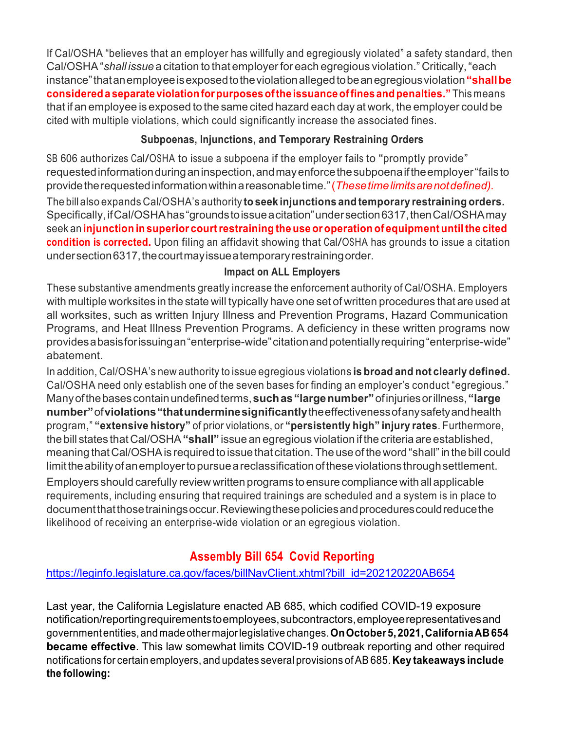If Cal/OSHA "believes that an employer has willfully and egregiously violated" a safety standard, then Cal/OSHA"*shall issue* a citation to that employerfor each egregious violation." Critically,"each instance"thatanemployeeisexposedtotheviolationallegedtobeanegregiousviolation**"shallbe considered a separate violationforpurposesofthe issuanceoffines andpenalties."** This means that if an employee is exposed to the same cited hazard each day at work, the employer could be cited with multiple violations, which could significantly increase the associated fines.

## **Subpoenas, Injunctions, and Temporary Restraining Orders**

SB <sup>606</sup> authorizes Cal/OSHA to issue <sup>a</sup> subpoena if the employer fails to "promptly provide" requestedinformationduringaninspection,andmayenforcethesubpoenaiftheemployer"failsto providetherequestedinformationwithinareasonabletime."(*Thesetimelimitsarenotdefined).*

The bill also expands Cal/OSHA's authority **to seek injunctions and temporary restraining orders.**  Specifically, if Cal/OSHA has "grounds to issue a citation" under section 6317, then Cal/OSHA may seek an **injunction in superior courtrestraining the use oroperation of equipment untilthe cited condition is corrected.** Upon filing an affidavit showing that Cal/OSHA has grounds to issue <sup>a</sup> citation undersection 6317, the court may issue a temporary restraining order.

## **Impact on ALL Employers**

These substantive amendments greatly increase the enforcement authority of Cal/OSHA. Employers with multiple worksites in the state will typically have one set of written procedures that are used at all worksites, such as written Injury Illness and Prevention Programs, Hazard Communication Programs, and Heat Illness Prevention Programs. A deficiency in these written programs now providesabasisforissuingan"enterprise-wide"citationandpotentiallyrequiring"enterprise-wide" abatement.

In addition, Cal/OSHA's new authority to issue egregious violations **is broad and not clearly defined.**  Cal/OSHA need only establish one of the seven bases for finding an employer's conduct "egregious." Manyofthebasescontainundefinedterms,**suchas"largenumber"**ofinjuriesorillness,**"large number"**of**violations"thatunderminesignificantly**theeffectivenessofanysafetyandhealth program," **"extensive history"** of prior violations, or **"persistently high" injury rates**. Furthermore, the bill states that Cal/OSHA**"shall"** issue an egregious violation if the criteria are established, meaning thatCal/OSHAis required to issue that citation.The use of theword "shall"in the bill could limit the ability of an employer to pursue a reclassification of these violations through settlement.

Employers should carefully review written programs to ensure compliance with all applicable requirements, including ensuring that required trainings are scheduled and a system is in place to documentthatthosetrainingsoccur.Reviewingthesepoliciesandprocedurescouldreducethe likelihood of receiving an enterprise-wide violation or an egregious violation.

# **Assembly Bill 654 Covid Reporting**

## https://leginfo.legislature.ca.gov/faces/billNavClient.xhtml?bill\_id=202120220AB654

Last year, the California Legislature enacted AB 685, which codified COVID-19 exposure notification/reportingrequirementstoemployees,subcontractors,employeerepresentativesand governmententities,and made othermajorlegislative changes.**OnOctober5,2021,CaliforniaAB654 became effective**. This law somewhat limits COVID-19 outbreak reporting and other required notifications for certain employers, and updates several provisions ofAB 685. **Key takeaways include the following:**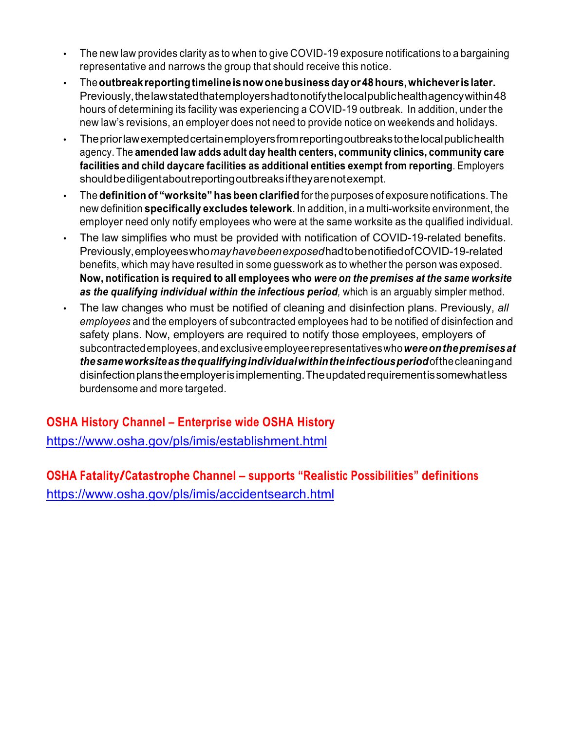- The new law provides clarity as to when to give COVID-19 exposure notifications to a bargaining representative and narrows the group that should receive this notice.
- The**outbreakreportingtimelineisnowonebusinessdayor48hours,whicheverislater.**  Previously, the law stated that employers had to notify the local publichealth agency within 48 hours of determining its facility was experiencing a COVID-19 outbreak. In addition, under the new law's revisions, an employer does not need to provide notice on weekends and holidays.
- Thepriorlawexemptedcertainemployersfromreportingoutbreakstothelocalpublichealth agency. The **amended law adds adult day health centers, community clinics, community care facilities and child daycare facilities as additional entities exempt from reporting**. Employers shouldbediligentaboutreportingoutbreaksiftheyarenotexempt.
- The **definition of "worksite" has been clarified** forthe purposes of exposure notifications. The new definition **specifically excludes telework**. In addition, in a multi-worksite environment, the employer need only notify employees who were at the same worksite as the qualified individual.
- The law simplifies who must be provided with notification of COVID-19-related benefits. Previously,employeeswho*mayhavebeenexposed*hadtobenotifiedofCOVID-19-related benefits, which may have resulted in some guesswork as to whether the person was exposed. **Now, notification is required to all employees who** *were on the premises at the same worksite as the qualifying individual within the infectious period,* which is an arguably simpler method.
- The law changes who must be notified of cleaning and disinfection plans. Previously, *all employees* and the employers of subcontracted employees had to be notified of disinfection and safety plans. Now, employers are required to notify those employees, employers of subcontractedemployees,andexclusiveemployeerepresentativeswho*wereonthepremisesat thesameworksiteasthequalifyingindividualwithintheinfectiousperiod*ofthecleaningand disinfectionplanstheemployerisimplementing.Theupdatedrequirementissomewhatless burdensome and more targeted.

**OSHA History Channel – Enterprise wide OSHA History** https://www.osha.gov/pls/imis/establishment.html

**OSHA Fatality/Catastrophe Channel – supports "Realistic Possibilities" definitions** https://www.osha.gov/pls/imis/accidentsearch.html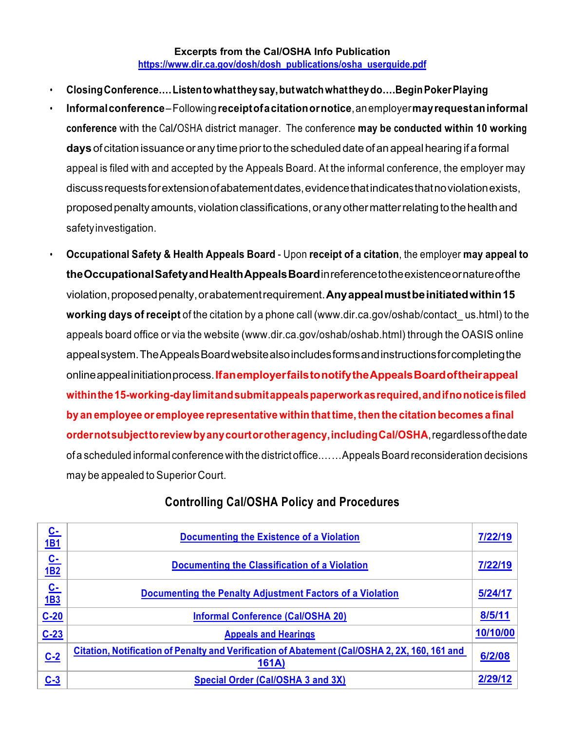### **Excerpts from the Cal/OSHA Info Publication https://www.dir.ca.gov/dosh/dosh\_publications/osha\_userguide.pdf**

- **ClosingConference….Listentowhattheysay,butwatchwhattheydo….BeginPokerPlaying**
- **Informalconference**–Following**receiptofacitationornotice**,anemployer**mayrequestaninformal conference** with the Cal/OSHA district manager. The conference **may be conducted within <sup>10</sup> working days** of citation issuance or any time priorto the scheduled date of an appeal hearing if a formal appeal is filed with and accepted by the Appeals Board. At the informal conference, the employer may discussrequestsforextensionofabatementdates,evidencethatindicatesthatnoviolationexists, proposed penalty amounts, violation classifications, or any other matter relating to the health and safetyinvestigation.
- **Occupational Safety & Health Appeals Board** Upon **receipt of a citation**, the employer **may appeal to theOccupationalSafetyandHealthAppealsBoard**inreferencetotheexistenceornatureofthe violation,proposedpenalty,orabatementrequirement.**Anyappealmustbeinitiatedwithin15 working days of receipt** of the citation by a phone call (www.dir.ca.gov/oshab/contact\_ us.html) to the appeals board office or via the website (www.dir.ca.gov/oshab/oshab.html) through the OASIS online appealsystem.TheAppealsBoardwebsitealsoincludesformsandinstructionsforcompletingthe onlineappealinitiationprocess.**IfanemployerfailstonotifytheAppealsBoardoftheirappeal withinthe15-working-daylimitandsubmitappealspaperworkasrequired,andifnonoticeisfiled by an employee or employee representative within thattime,then the citation becomes a final ordernotsubjecttoreviewbyanycourtorotheragency,includingCal/OSHA**,regardlessofthedate of a scheduled informal conference with the district office....... Appeals Board reconsideration decisions may be appealed to Superior Court.

| C-<br><u>1B1</u>        | <b>Documenting the Existence of a Violation</b>                                                        | 7/22/19  |
|-------------------------|--------------------------------------------------------------------------------------------------------|----------|
| <u>C-</u><br><b>1B2</b> | Documenting the Classification of a Violation                                                          | 7/22/19  |
| C-<br>1 <b>B3</b>       | <b>Documenting the Penalty Adjustment Factors of a Violation</b>                                       | 5/24/17  |
| $C-20$                  | <b>Informal Conference (Cal/OSHA 20)</b>                                                               | 8/5/11   |
| $C-23$                  | <b>Appeals and Hearings</b>                                                                            | 10/10/00 |
| $C-2$                   | Citation, Notification of Penalty and Verification of Abatement (Cal/OSHA 2, 2X, 160, 161 and<br>161A) | 6/2/08   |
| $C-3$                   | <b>Special Order (Cal/OSHA 3 and 3X)</b>                                                               |          |

## **Controlling Cal/OSHA Policy and Procedures**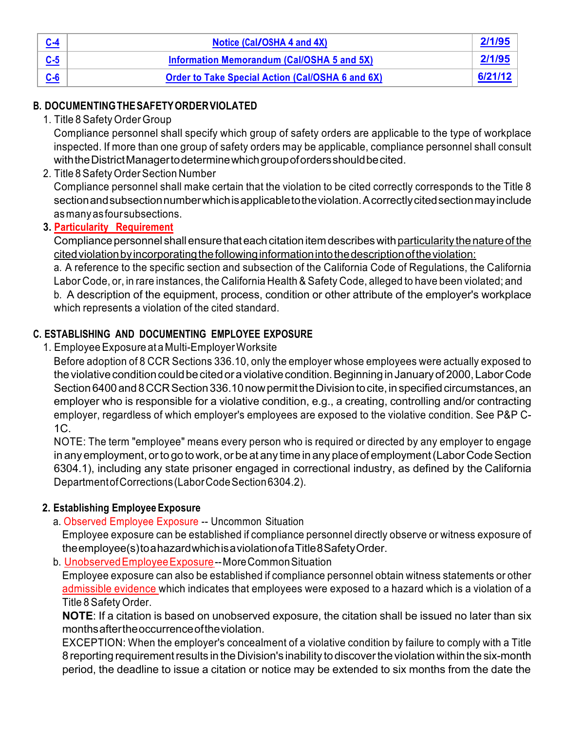| Notice (Cal/OSHA 4 and 4X)                              | 2/1/95  |
|---------------------------------------------------------|---------|
| Information Memorandum (Cal/OSHA 5 and 5X)              | 2/1/95  |
| <b>Order to Take Special Action (Cal/OSHA 6 and 6X)</b> | 6/21/12 |

## **B. DOCUMENTINGTHESAFETYORDERVIOLATED**

1. Title 8 Safety Order Group

Compliance personnel shall specify which group of safety orders are applicable to the type of workplace inspected. If more than one group of safety orders may be applicable, compliance personnel shall consult withtheDistrictManagertodeterminewhichgroupofordersshouldbecited.

2. Title 8 Safety Order Section Number

Compliance personnel shall make certain that the violation to be cited correctly corresponds to the Title 8 sectionandsubsectionnumberwhichisapplicabletotheviolation.Acorrectlycitedsectionmayinclude asmanyasfoursubsections.

## **3. Particularity Requirement**

Compliance personnel shall ensure that each citation item describes with particularity the nature of the cited violation by incorporating the following information into the description of the violation:

a. A reference to the specific section and subsection of the California Code of Regulations, the California Labor Code, or, in rare instances, the California Health & Safety Code, alleged to have been violated; and b. A description of the equipment, process, condition or other attribute of the employer's workplace which represents a violation of the cited standard.

## **C. ESTABLISHING AND DOCUMENTING EMPLOYEE EXPOSURE**

1. EmployeeExposure at a Multi-EmployerWorksite

Before adoption of 8 CCR Sections 336.10, only the employer whose employees were actually exposed to the violative condition could be cited or a violative condition. Beginning in January of 2000, Labor Code Section 6400 and 8 CCR Section 336.10 now permit the Division to cite, in specified circumstances, an employer who is responsible for a violative condition, e.g., a creating, controlling and/or contracting employer, regardless of which employer's employees are exposed to the violative condition. See P&P C- $1C$ .

NOTE: The term "employee" means every person who is required or directed by any employer to engage in any employment, or to go to work, or be at any time in any place of employment (Labor Code Section 6304.1), including any state prisoner engaged in correctional industry, as defined by the California DepartmentofCorrections(LaborCodeSection6304.2).

## **2. Establishing Employee Exposure**

a. Observed Employee Exposure -- Uncommon Situation

Employee exposure can be established if compliance personnel directly observe or witness exposure of theemployee(s)toahazardwhichisaviolationofaTitle8SafetyOrder.

b. Unobserved Employee Exposure--More Common Situation

Employee exposure can also be established if compliance personnel obtain witness statements or other admissible evidence which indicates that employees were exposed to a hazard which is a violation of a Title 8 Safety Order.

**NOTE**: If a citation is based on unobserved exposure, the citation shall be issued no later than six monthsaftertheoccurrenceoftheviolation.

EXCEPTION: When the employer's concealment of a violative condition by failure to comply with a Title 8 reporting requirement results in the Division's inability to discover the violation within the six-month period, the deadline to issue a citation or notice may be extended to six months from the date the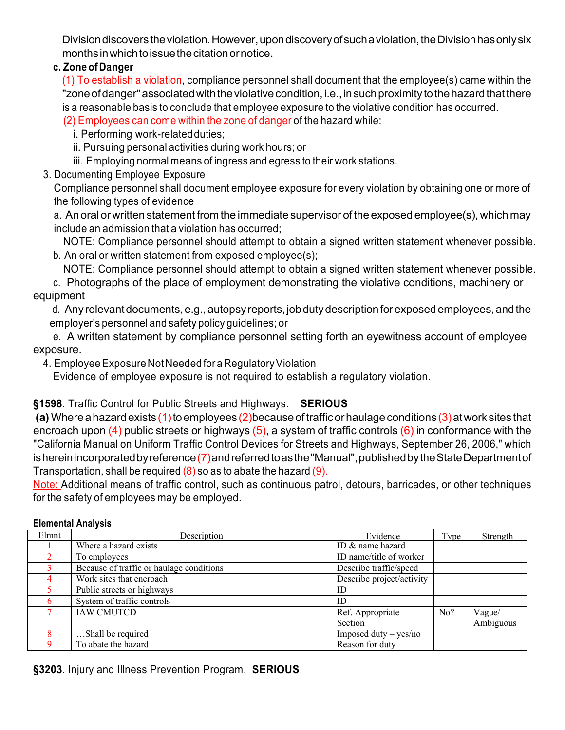Division discovers the violation. However, upon discovery of such a violation, the Division has only six monthsinwhichtoissuethecitationornotice.

## **c. Zone of Danger**

(1) To establish a violation, compliance personnel shall document that the employee(s) came within the "zone of danger" associated with the violative condition, i.e., in such proximity to the hazard that there is a reasonable basis to conclude that employee exposure to the violative condition has occurred.

(2) Employees can come within the zone of danger of the hazard while:

i. Performing work-related duties;

ii. Pursuing personal activities during work hours; or

iii. Employing normal means of ingress and egress to their work stations.

3. Documenting Employee Exposure

Compliance personnel shall document employee exposure for every violation by obtaining one or more of the following types of evidence

a. An oral or written statement from the immediate supervisor of the exposed employee(s), which may include an admission that a violation has occurred;

NOTE: Compliance personnel should attempt to obtain a signed written statement whenever possible. b. An oral or written statement from exposed employee(s);

NOTE: Compliance personnel should attempt to obtain a signed written statement whenever possible.

c. Photographs of the place of employment demonstrating the violative conditions, machinery or equipment

d. Any relevant documents, e.g., autopsy reports, job duty description for exposed employees, and the employer's personnel and safety policy guidelines; or

e. A written statement by compliance personnel setting forth an eyewitness account of employee exposure.

4. Employee Exposure Not Needed for a Regulatory Violation

Evidence of employee exposure is not required to establish a regulatory violation.

## **§1598**. Traffic Control for Public Streets and Highways. **SERIOUS**

(a) Where a hazard exists (1) to employees (2)because of traffic or haulage conditions (3) at work sites that encroach upon  $(4)$  public streets or highways  $(5)$ , a system of traffic controls  $(6)$  in conformance with the "California Manual on Uniform Traffic Control Devices for Streets and Highways, September 26, 2006," which ishereinincorporated by reference (7) and referred to as the "Manual", published by the State Department of Transportation, shall be required  $(8)$  so as to abate the hazard  $(9)$ .

Note: Additional means of traffic control, such as continuous patrol, detours, barricades, or other techniques for the safety of employees may be employed.

|       | F <sub>1</sub>                           |                           |      |           |
|-------|------------------------------------------|---------------------------|------|-----------|
| Elmnt | Description                              | Evidence                  | Type | Strength  |
|       | Where a hazard exists                    | ID & name hazard          |      |           |
|       | To employees                             | ID name/title of worker   |      |           |
|       | Because of traffic or haulage conditions | Describe traffic/speed    |      |           |
| 4     | Work sites that encroach                 | Describe project/activity |      |           |
|       | Public streets or highways               | ID                        |      |           |
|       | System of traffic controls               | ID                        |      |           |
|       | <b>IAW CMUTCD</b>                        | Ref. Appropriate          | No?  | Vague/    |
|       |                                          | Section                   |      | Ambiguous |
|       | Shall be required                        | Imposed duty $-$ yes/no   |      |           |
|       | To abate the hazard                      | Reason for duty           |      |           |

## **Elemental Analysis**

**§3203**. Injury and Illness Prevention Program. **SERIOUS**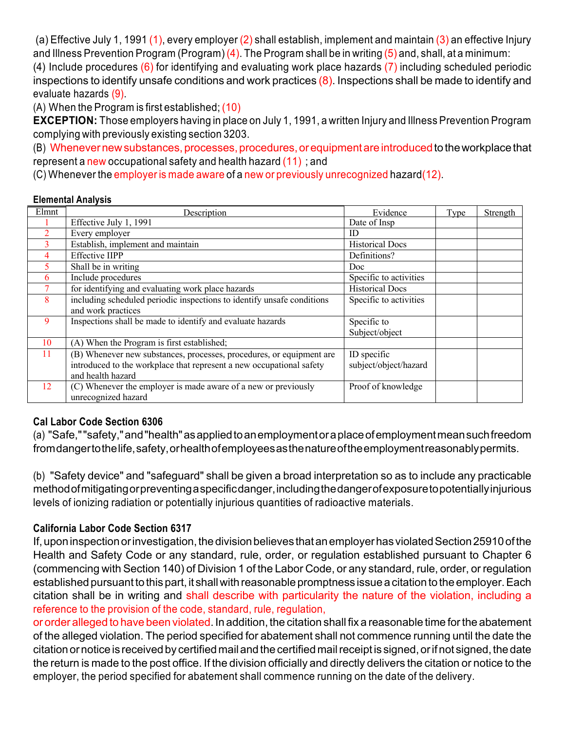(a) Effective July 1, 1991 (1), every employer (2) shall establish, implement and maintain (3) an effective Injury and Illness Prevention Program (Program) (4). The Program shall be in writing (5) and, shall, at a minimum:

(4) Include procedures  $(6)$  for identifying and evaluating work place hazards  $(7)$  including scheduled periodic inspections to identify unsafe conditions and work practices  $(8)$ . Inspections shall be made to identify and evaluate hazards (9).

(A) When the Program is first established; (10)

**EXCEPTION:** Those employers having in place on July 1, 1991, a written Injury and Illness Prevention Program complying with previously existing section 3203.

(B) Whenever new substances, processes, procedures, or equipment are introduced to the workplace that represent a new occupational safety and health hazard (11) ; and

(C) Whenever the employer is made aware of a new or previously unrecognized hazard(12).

## **Elemental Analysis**

| Elmnt          | Description                                                            | Evidence               | Type | Strength |
|----------------|------------------------------------------------------------------------|------------------------|------|----------|
|                | Effective July 1, 1991                                                 | Date of Insp           |      |          |
|                | Every employer                                                         | ID                     |      |          |
| 3              | Establish, implement and maintain                                      | <b>Historical Docs</b> |      |          |
| $\overline{4}$ | <b>Effective IIPP</b>                                                  | Definitions?           |      |          |
| 5.             | Shall be in writing                                                    | Doc                    |      |          |
| 6              | Include procedures                                                     | Specific to activities |      |          |
|                | for identifying and evaluating work place hazards                      | <b>Historical Docs</b> |      |          |
| 8              | including scheduled periodic inspections to identify unsafe conditions | Specific to activities |      |          |
|                | and work practices                                                     |                        |      |          |
| 9              | Inspections shall be made to identify and evaluate hazards             | Specific to            |      |          |
|                |                                                                        | Subject/object         |      |          |
| 10             | (A) When the Program is first established;                             |                        |      |          |
| 11             | (B) Whenever new substances, processes, procedures, or equipment are   | ID specific            |      |          |
|                | introduced to the workplace that represent a new occupational safety   | subject/object/hazard  |      |          |
|                | and health hazard                                                      |                        |      |          |
| 12             | (C) Whenever the employer is made aware of a new or previously         | Proof of knowledge     |      |          |
|                | unrecognized hazard                                                    |                        |      |          |

## **Cal Labor Code Section 6306**

(a) "Safe,""safety,"and"health"asappliedtoanemploymentoraplaceofemploymentmeansuchfreedom fromdangertothelife,safety,orhealthofemployeesasthenatureoftheemploymentreasonablypermits.

(b) "Safety device" and "safeguard" shall be given a broad interpretation so as to include any practicable methodofmitigatingorpreventingaspecificdanger,includingthedangerofexposuretopotentiallyinjurious levels of ionizing radiation or potentially injurious quantities of radioactive materials.

## **California Labor Code Section 6317**

If, upon inspection or investigation, the division believes that an employer has violated Section 25910 of the Health and Safety Code or any standard, rule, order, or regulation established pursuant to Chapter 6 (commencing with Section 140) of Division 1 of the Labor Code, or any standard, rule, order, or regulation established pursuant to this part, it shall with reasonable promptness issue a citation to the employer. Each citation shall be in writing and shall describe with particularity the nature of the violation, including a reference to the provision of the code, standard, rule, regulation,

or order alleged to have been violated. In addition, the citation shall fix a reasonable time forthe abatement of the alleged violation. The period specified for abatement shall not commence running until the date the citation or notice is received by certified mail and the certified mail receipt is signed, or if not signed, the date the return is made to the post office. If the division officially and directly delivers the citation or notice to the employer, the period specified for abatement shall commence running on the date of the delivery.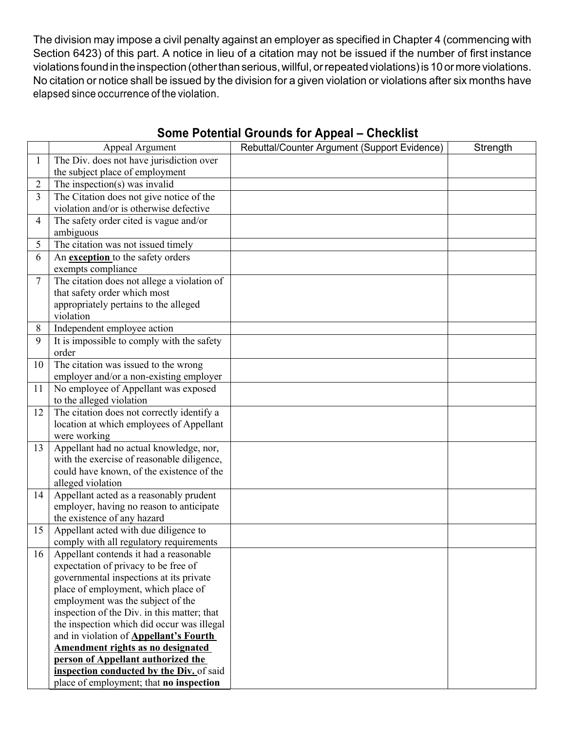The division may impose a civil penalty against an employer as specified in Chapter 4 (commencing with Section 6423) of this part. A notice in lieu of a citation may not be issued if the number of first instance violations found in the inspection (other than serious, willful, or repeated violations) is 10 or more violations. No citation or notice shall be issued by the division for a given violation or violations after six months have elapsed since occurrence of the violation.

|              | Appeal Argument                                                                  | Rebuttal/Counter Argument (Support Evidence) | Strength |
|--------------|----------------------------------------------------------------------------------|----------------------------------------------|----------|
| $\mathbf{1}$ | The Div. does not have jurisdiction over                                         |                                              |          |
|              | the subject place of employment                                                  |                                              |          |
| 2            | The inspection(s) was invalid                                                    |                                              |          |
| 3            | The Citation does not give notice of the                                         |                                              |          |
|              | violation and/or is otherwise defective                                          |                                              |          |
| 4            | The safety order cited is vague and/or                                           |                                              |          |
|              | ambiguous                                                                        |                                              |          |
| 5            | The citation was not issued timely                                               |                                              |          |
| 6            | An exception to the safety orders                                                |                                              |          |
|              | exempts compliance                                                               |                                              |          |
| $\tau$       | The citation does not allege a violation of                                      |                                              |          |
|              | that safety order which most                                                     |                                              |          |
|              | appropriately pertains to the alleged                                            |                                              |          |
|              | violation                                                                        |                                              |          |
| 8<br>9       | Independent employee action                                                      |                                              |          |
|              | It is impossible to comply with the safety<br>order                              |                                              |          |
| 10           | The citation was issued to the wrong                                             |                                              |          |
|              | employer and/or a non-existing employer                                          |                                              |          |
| 11           | No employee of Appellant was exposed                                             |                                              |          |
|              | to the alleged violation                                                         |                                              |          |
| 12           | The citation does not correctly identify a                                       |                                              |          |
|              | location at which employees of Appellant                                         |                                              |          |
|              | were working                                                                     |                                              |          |
| 13           | Appellant had no actual knowledge, nor,                                          |                                              |          |
|              | with the exercise of reasonable diligence,                                       |                                              |          |
|              | could have known, of the existence of the                                        |                                              |          |
|              | alleged violation                                                                |                                              |          |
| 14           | Appellant acted as a reasonably prudent                                          |                                              |          |
|              | employer, having no reason to anticipate                                         |                                              |          |
| 15           | the existence of any hazard                                                      |                                              |          |
|              | Appellant acted with due diligence to<br>comply with all regulatory requirements |                                              |          |
| 16           | Appellant contends it had a reasonable                                           |                                              |          |
|              | expectation of privacy to be free of                                             |                                              |          |
|              | governmental inspections at its private                                          |                                              |          |
|              | place of employment, which place of                                              |                                              |          |
|              | employment was the subject of the                                                |                                              |          |
|              | inspection of the Div. in this matter; that                                      |                                              |          |
|              | the inspection which did occur was illegal                                       |                                              |          |
|              | and in violation of <b>Appellant's Fourth</b>                                    |                                              |          |
|              | Amendment rights as no designated                                                |                                              |          |
|              | person of Appellant authorized the                                               |                                              |          |
|              | inspection conducted by the Div. of said                                         |                                              |          |
|              | place of employment; that no inspection                                          |                                              |          |

## **Some Potential Grounds for Appeal – Checklist**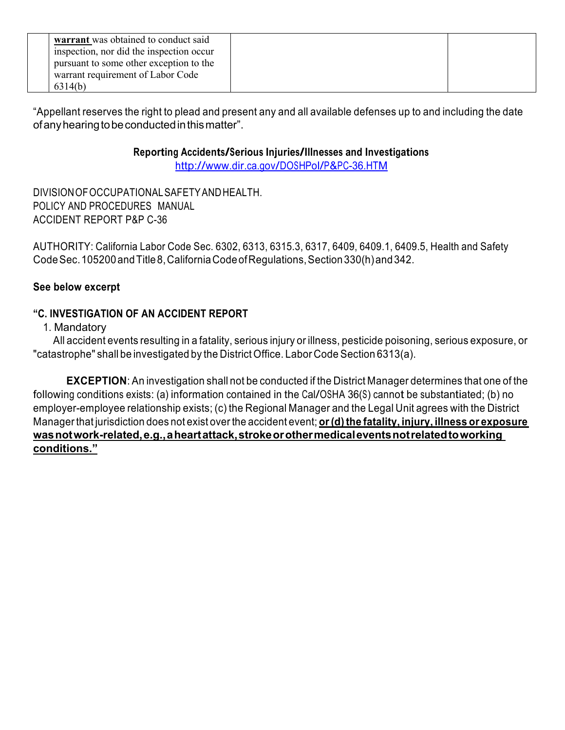| warrant was obtained to conduct said<br>inspection, nor did the inspection occur<br>pursuant to some other exception to the<br>warrant requirement of Labor Code<br>6314(b) |  |  |
|-----------------------------------------------------------------------------------------------------------------------------------------------------------------------------|--|--|
|-----------------------------------------------------------------------------------------------------------------------------------------------------------------------------|--|--|

"Appellant reserves the right to plead and present any and all available defenses up to and including the date ofanyhearingtobeconductedinthismatter".

## **Reporting Accidents/Serious Injuries/Illnesses and Investigations**

http://www.dir.ca.gov/DOSHPol/P&PC-36.HTM

DIVISIONOFOCCUPATIONALSAFETYANDHEALTH. POLICY AND PROCEDURES MANUAL ACCIDENT REPORT P&P C-36

AUTHORITY: California Labor Code Sec. 6302, 6313, 6315.3, 6317, 6409, 6409.1, 6409.5, Health and Safety CodeSec.105200andTitle8,CaliforniaCodeofRegulations,Section330(h)and342.

## **See below excerpt**

## **"C. INVESTIGATION OF AN ACCIDENT REPORT**

1. Mandatory

All accident events resulting in a fatality, serious injury or illness, pesticide poisoning, serious exposure, or "catastrophe" shall be investigated by the District Office. Labor Code Section 6313(a).

**EXCEPTION**: An investigation shall not be conducted if the District Manager determines that one of the following conditions exists: (a) information contained in the Cal/OSHA 36(S) cannot be substantiated; (b) no employer-employee relationship exists; (c) the Regional Manager and the Legal Unit agrees with the District Manager that jurisdiction does not exist over the accident event; **or(d)the fatality, injury, illness or exposure wasnotwork-related,e.g.,aheartattack,strokeorothermedicaleventsnotrelatedtoworking conditions."**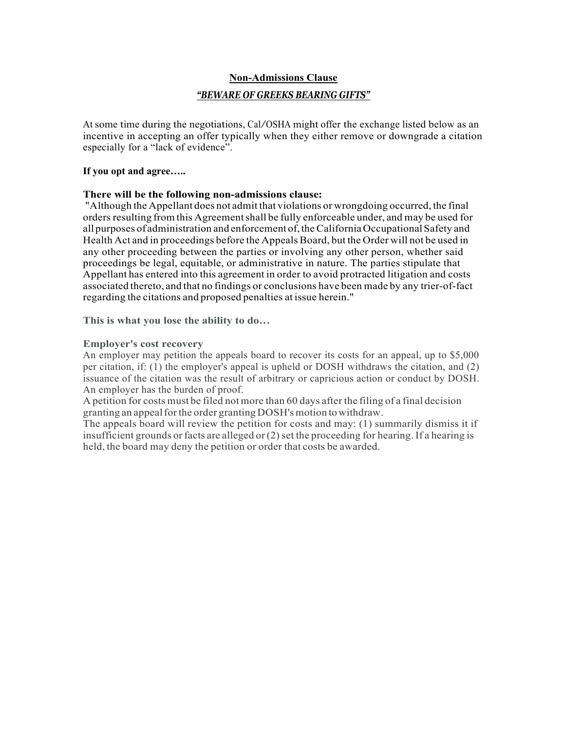#### **Non-Admissions Clause**

#### *"BEWARE OF GREEKS BEARING GIFTS"*

At some time during the negotiations, Cal/OSHA might offer the exchange listed below as an incentive in accepting an offer typically when they either remove or downgrade a citation especially for a "lack of evidence".

#### **If you opt and agree…..**

#### **There will be the following non-admissions clause:**

"Although the Appellant does not admit that violations or wrongdoing occurred, the final orders resulting from this Agreement shall be fully enforceable under, and may be used for all purposes of administration and enforcement of, the California Occupational Safety and Health Act and in proceedings before the Appeals Board, but the Order will not be used in any other proceeding between the parties or involving any other person, whether said proceedings be legal, equitable, or administrative in nature. The parties stipulate that Appellant has entered into this agreement in order to avoid protracted litigation and costs associated thereto, and that no findings or conclusions have been made by any trier-of-fact regarding the citations and proposed penalties at issue herein."

**This is what you lose the ability to do…**

#### **Employer's cost recovery**

An employer may petition the appeals board to recover its costs for an appeal, up to \$5,000 per citation, if: (1) the employer's appeal is upheld or DOSH withdraws the citation, and (2) issuance of the citation was the result of arbitrary or capricious action or conduct by DOSH. An employer has the burden of proof.

A petition for costs must be filed notmore than 60 days after the filing of a final decision granting an appeal for the order granting DOSH's motion to withdraw.

The appeals board will review the petition for costs and may: (1) summarily dismiss it if insufficient grounds or facts are alleged or  $(2)$  set the proceeding for hearing. If a hearing is held, the board may deny the petition or order that costs be awarded.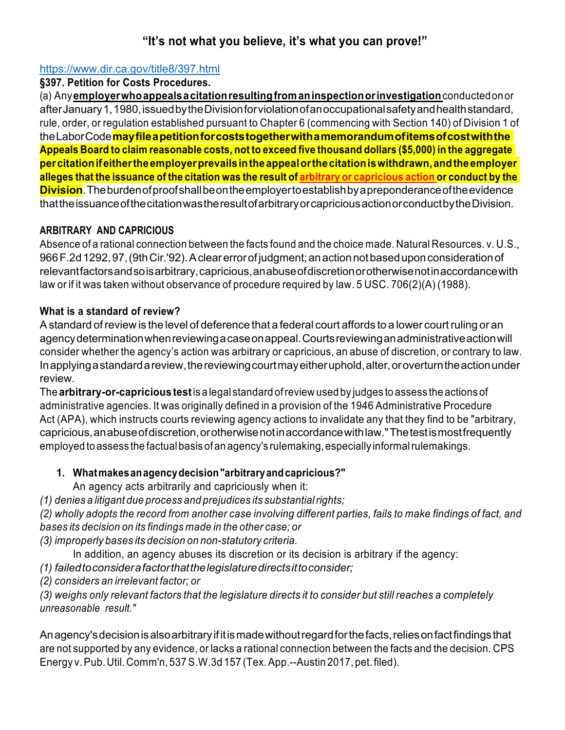## **"It's not what you believe, it's what you can prove!"**

## https://www.dir.ca.gov/title8/397.html

## **§397. Petition for Costs Procedures.**

(a) Any**employerwhoappealsacitationresultingfromaninspectionorinvestigation**conductedonor afterJanuary1,1980,issuedbytheDivisionforviolationofanoccupationalsafetyandhealthstandard, rule, order, or regulation established pursuant to Chapter 6 (commencing with Section 140) of Division 1 of theLaborCode**mayfileapetitionforcoststogetherwithamemorandumofitemsofcostwiththe Appeals Board to claim reasonable costs, not to exceed five thousand dollars (\$5,000) in the aggregate percitationifeithertheemployerprevailsintheappealorthecitationiswithdrawn,andtheemployer**  alleges that the issuance of the citation was the result of arbitrary or capricious action or conduct by the **Division**.Theburdenofproofshallbeontheemployertoestablishbyapreponderanceoftheevidence thattheissuanceofthecitationwastheresultofarbitraryorcapriciousactionorconductbytheDivision.

## **ARBITRARY AND CAPRICIOUS**

Absence of a rational connection between the facts found and the choice made. Natural Resources. v. U.S., 966F.2d1292,97,(9thCir.'92).Aclearerrorofjudgment;anactionnotbaseduponconsiderationof relevantfactorsandsoisarbitrary,capricious,anabuseofdiscretionorotherwisenotinaccordancewith law or if it was taken without observance of procedure required by law. 5 USC. 706(2)(A) (1988).

## **What is a standard of review?**

Astandard ofreview is the level of deference that a federal court affords to a lower courtruling or an agencydeterminationwhenreviewingacaseonappeal.Courtsreviewinganadministrativeactionwill consider whether the agency's action was arbitrary or capricious, an abuse of discretion, or contrary to law. Inapplyingastandardareview,thereviewingcourtmayeitheruphold,alter,oroverturntheactionunder review.

The **arbitrary-or-capricious test**is a legal standard ofreview used by judges to assess the actions of administrative agencies. It was originally defined in a provision of the 1946 Administrative Procedure Act (APA), which instructs courts reviewing agency actions to invalidate any that they find to be "arbitrary, capricious,anabuseofdiscretion,orotherwisenotinaccordancewithlaw."Thetestismostfrequently employed to assess the factual basis of an agency's rulemaking, especially informal rulemakings.

## **1. Whatmakesanagencydecision"arbitraryandcapricious?"**

An agency acts arbitrarily and capriciously when it:

*(1) denies a litigant due process and prejudices its substantialrights;*

(2) wholly adopts the record from another case involving different parties, fails to make findings of fact, and *bases its decision on its findings made in the other case; or*

*(3) improperly bases its decision on non-statutory criteria.*

In addition, an agency abuses its discretion or its decision is arbitrary if the agency:

*(1) failedtoconsiderafactorthatthelegislaturedirectsittoconsider;*

*(2) considers an irrelevant factor; or*

(3) weighs only relevant factors that the legislature directs it to consider but still reaches a completely *unreasonable result."*

Anagency'sdecisionisalsoarbitraryifitismadewithoutregardforthefacts,reliesonfactfindingsthat are not supported by any evidence, or lacks a rational connection between the facts and the decision. CPS Energy v.Pub. Util. Comm'n, 537S.W.3d 157 (Tex.App.--Austin 2017, pet. filed).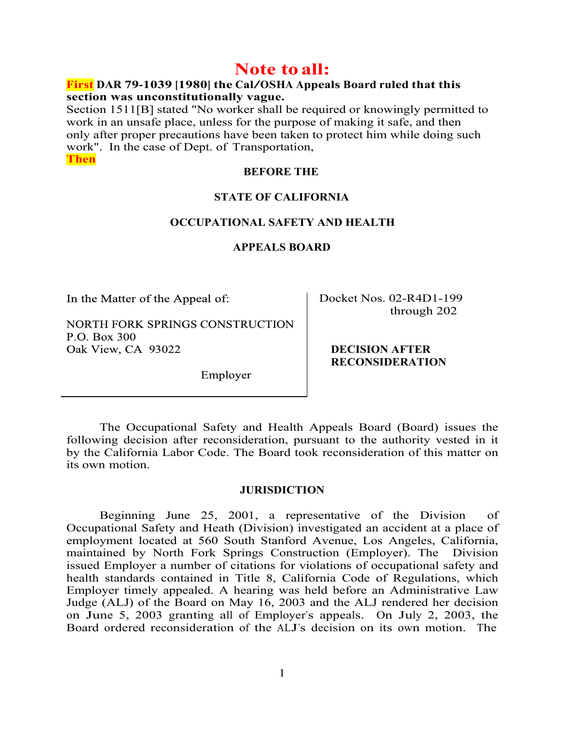# **Note to all:**

### **First DAR 79-1039 [1980] the Cal/OSHA Appeals Board ruled that this section was unconstitutionally vague.**

Section 1511[B] stated "No worker shall be required or knowingly permitted to work in an unsafe place, unless for the purpose of making it safe, and then only after proper precautions have been taken to protect him while doing such work". In the case of Dept. of Transportation, **Then**

#### **BEFORE THE**

#### **STATE OF CALIFORNIA**

#### **OCCUPATIONAL SAFETY AND HEALTH**

**APPEALS BOARD**

In the Matter of the Appeal of:

NORTH FORK SPRINGS CONSTRUCTION P.O. Box 300 Oak View, CA 93022

Docket Nos. 02-R4D1-199 through 202

#### **DECISION AFTER RECONSIDERATION**

Employer

The Occupational Safety and Health Appeals Board (Board) issues the following decision after reconsideration, pursuant to the authority vested in it by the California Labor Code. The Board took reconsideration of this matter on its own motion.

#### **JURISDICTION**

Beginning June 25, 2001, a representative of the Division of Occupational Safety and Heath (Division) investigated an accident at a place of employment located at 560 South Stanford Avenue, Los Angeles, California, maintained by North Fork Springs Construction (Employer). The Division issued Employer a number of citations for violations of occupational safety and health standards contained in Title 8, California Code of Regulations, which Employer timely appealed. A hearing was held before an Administrative Law Judge (ALJ) of the Board on May 16, 2003 and the ALJ rendered her decision on June 5, 2003 granting all of Employer's appeals. On July 2, 2003, the Board ordered reconsideration of the ALJ's decision on its own motion. The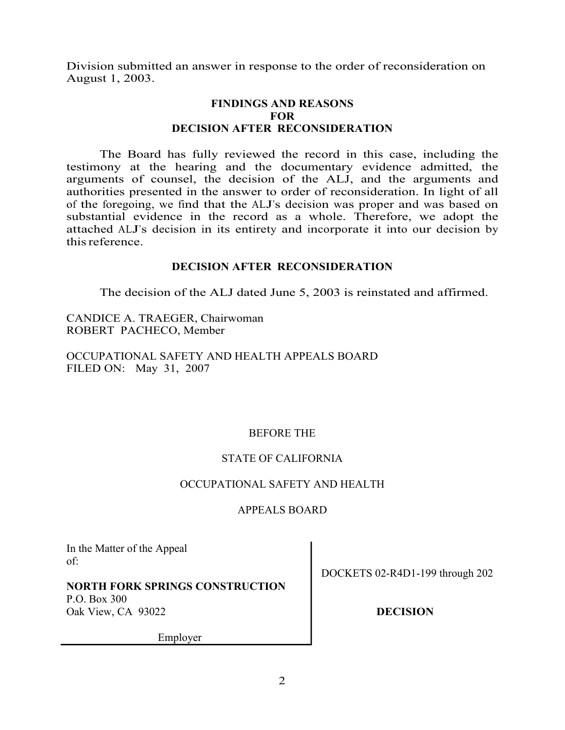Division submitted an answer in response to the order of reconsideration on August 1, 2003.

## **FINDINGS AND REASONS FOR DECISION AFTER RECONSIDERATION**

The Board has fully reviewed the record in this case, including the testimony at the hearing and the documentary evidence admitted, the arguments of counsel, the decision of the ALJ, and the arguments and authorities presented in the answer to order of reconsideration. In light of all of the foregoing, we find that the ALJ's decision was proper and was based on substantial evidence in the record as a whole. Therefore, we adopt the attached ALJ's decision in its entirety and incorporate it into our decision by thisreference.

## **DECISION AFTER RECONSIDERATION**

The decision of the ALJ dated June 5, 2003 is reinstated and affirmed.

CANDICE A. TRAEGER, Chairwoman ROBERT PACHECO, Member

OCCUPATIONAL SAFETY AND HEALTH APPEALS BOARD FILED ON: May 31, 2007

## BEFORE THE

## STATE OF CALIFORNIA

### OCCUPATIONAL SAFETY AND HEALTH

## APPEALS BOARD

In the Matter of the Appeal of:

## **NORTH FORK SPRINGS CONSTRUCTION** P.O. Box 300

Oak View, CA 93022

DOCKETS 02-R4D1-199 through 202

## **DECISION**

Employer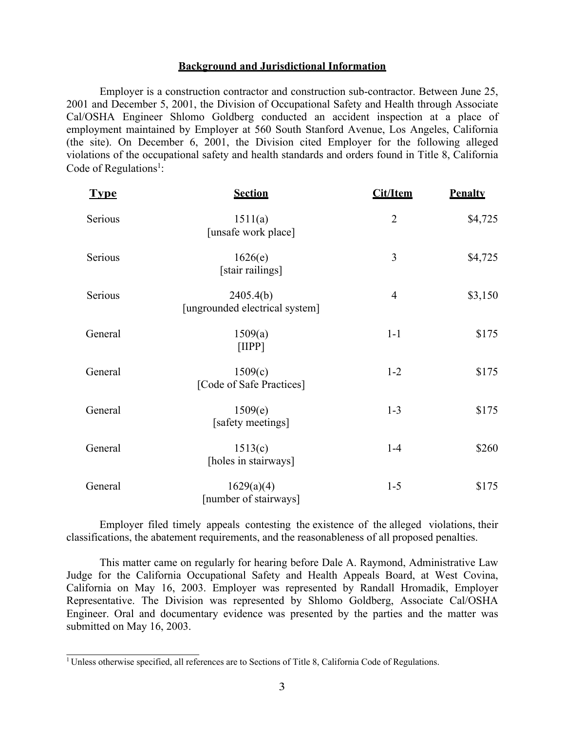#### **Background and Jurisdictional Information**

Employer is a construction contractor and construction sub-contractor. Between June 25, 2001 and December 5, 2001, the Division of Occupational Safety and Health through Associate Cal/OSHA Engineer Shlomo Goldberg conducted an accident inspection at a place of employment maintained by Employer at 560 South Stanford Avenue, Los Angeles, California (the site). On December 6, 2001, the Division cited Employer for the following alleged violations of the occupational safety and health standards and orders found in Title 8, California Code of Regulations<sup>1</sup>:

| <b>Type</b> | <b>Section</b>                              | <b>Cit/Item</b> | <b>Penalty</b> |
|-------------|---------------------------------------------|-----------------|----------------|
| Serious     | 1511(a)<br>[unsafe work place]              | $\overline{2}$  | \$4,725        |
| Serious     | 1626(e)<br>[stair railings]                 | 3               | \$4,725        |
| Serious     | 2405.4(b)<br>[ungrounded electrical system] | $\overline{4}$  | \$3,150        |
| General     | 1509(a)<br>[IIPP]                           | $1-1$           | \$175          |
| General     | 1509(c)<br>[Code of Safe Practices]         | $1 - 2$         | \$175          |
| General     | 1509(e)<br>[safety meetings]                | $1 - 3$         | \$175          |
| General     | 1513(c)<br>[holes in stairways]             | $1-4$           | \$260          |
| General     | 1629(a)(4)<br>[number of stairways]         | $1 - 5$         | \$175          |

Employer filed timely appeals contesting the existence of the alleged violations, their classifications, the abatement requirements, and the reasonableness of all proposed penalties.

This matter came on regularly for hearing before Dale A. Raymond, Administrative Law Judge for the California Occupational Safety and Health Appeals Board, at West Covina, California on May 16, 2003. Employer was represented by Randall Hromadik, Employer Representative. The Division was represented by Shlomo Goldberg, Associate Cal/OSHA Engineer. Oral and documentary evidence was presented by the parties and the matter was submitted on May 16, 2003.

<sup>&</sup>lt;sup>1</sup> Unless otherwise specified, all references are to Sections of Title 8, California Code of Regulations.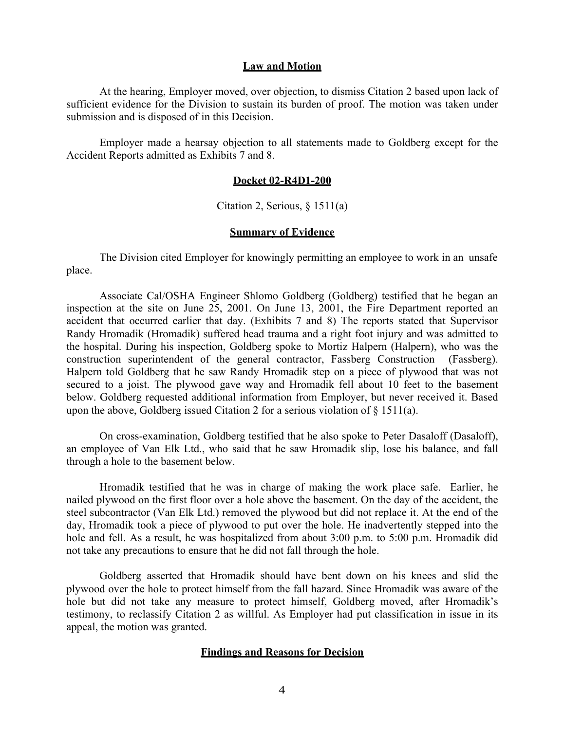#### **Law and Motion**

At the hearing, Employer moved, over objection, to dismiss Citation 2 based upon lack of sufficient evidence for the Division to sustain its burden of proof. The motion was taken under submission and is disposed of in this Decision.

Employer made a hearsay objection to all statements made to Goldberg except for the Accident Reports admitted as Exhibits 7 and 8.

#### **Docket 02-R4D1-200**

Citation 2, Serious, § 1511(a)

#### **Summary of Evidence**

The Division cited Employer for knowingly permitting an employee to work in an unsafe place.

Associate Cal/OSHA Engineer Shlomo Goldberg (Goldberg) testified that he began an inspection at the site on June 25, 2001. On June 13, 2001, the Fire Department reported an accident that occurred earlier that day. (Exhibits 7 and 8) The reports stated that Supervisor Randy Hromadik (Hromadik) suffered head trauma and a right foot injury and was admitted to the hospital. During his inspection, Goldberg spoke to Mortiz Halpern (Halpern), who was the construction superintendent of the general contractor, Fassberg Construction (Fassberg). Halpern told Goldberg that he saw Randy Hromadik step on a piece of plywood that was not secured to a joist. The plywood gave way and Hromadik fell about 10 feet to the basement below. Goldberg requested additional information from Employer, but never received it. Based upon the above, Goldberg issued Citation 2 for a serious violation of § 1511(a).

On cross-examination, Goldberg testified that he also spoke to Peter Dasaloff (Dasaloff), an employee of Van Elk Ltd., who said that he saw Hromadik slip, lose his balance, and fall through a hole to the basement below.

Hromadik testified that he was in charge of making the work place safe. Earlier, he nailed plywood on the first floor over a hole above the basement. On the day of the accident, the steel subcontractor (Van Elk Ltd.) removed the plywood but did not replace it. At the end of the day, Hromadik took a piece of plywood to put over the hole. He inadvertently stepped into the hole and fell. As a result, he was hospitalized from about 3:00 p.m. to 5:00 p.m. Hromadik did not take any precautions to ensure that he did not fall through the hole.

Goldberg asserted that Hromadik should have bent down on his knees and slid the plywood over the hole to protect himself from the fall hazard. Since Hromadik was aware of the hole but did not take any measure to protect himself, Goldberg moved, after Hromadik's testimony, to reclassify Citation 2 as willful. As Employer had put classification in issue in its appeal, the motion was granted.

#### **Findings and Reasons for Decision**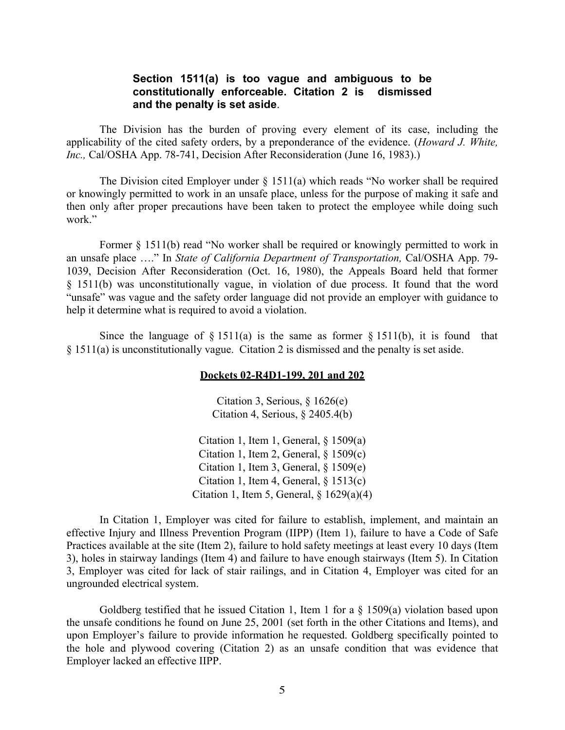#### **Section 1511(a) is too vague and ambiguous to be constitutionally enforceable. Citation 2 is dismissed and the penalty is set aside**.

The Division has the burden of proving every element of its case, including the applicability of the cited safety orders, by a preponderance of the evidence. (*Howard J. White, Inc.,* Cal/OSHA App. 78-741, Decision After Reconsideration (June 16, 1983).)

The Division cited Employer under § 1511(a) which reads "No worker shall be required or knowingly permitted to work in an unsafe place, unless for the purpose of making it safe and then only after proper precautions have been taken to protect the employee while doing such work."

Former § 1511(b) read "No worker shall be required or knowingly permitted to work in an unsafe place …." In *State of California Department of Transportation,* Cal/OSHA App. 79- 1039, Decision After Reconsideration (Oct. 16, 1980), the Appeals Board held that former § 1511(b) was unconstitutionally vague, in violation of due process. It found that the word "unsafe" was vague and the safety order language did not provide an employer with guidance to help it determine what is required to avoid a violation.

Since the language of  $\S 1511(a)$  is the same as former  $\S 1511(b)$ , it is found that § 1511(a) is unconstitutionally vague. Citation 2 is dismissed and the penalty is set aside.

#### **Dockets 02-R4D1-199, 201 and 202**

Citation 3, Serious, § 1626(e) Citation 4, Serious, § 2405.4(b)

Citation 1, Item 1, General,  $\S$  1509(a) Citation 1, Item 2, General,  $\S$  1509(c) Citation 1, Item 3, General,  $§ 1509(e)$ Citation 1, Item 4, General, § 1513(c) Citation 1, Item 5, General,  $\frac{8}{1629(a)(4)}$ 

In Citation 1, Employer was cited for failure to establish, implement, and maintain an effective Injury and Illness Prevention Program (IIPP) (Item 1), failure to have a Code of Safe Practices available at the site (Item 2), failure to hold safety meetings at least every 10 days (Item 3), holes in stairway landings (Item 4) and failure to have enough stairways (Item 5). In Citation 3, Employer was cited for lack of stair railings, and in Citation 4, Employer was cited for an ungrounded electrical system.

Goldberg testified that he issued Citation 1, Item 1 for a § 1509(a) violation based upon the unsafe conditions he found on June 25, 2001 (set forth in the other Citations and Items), and upon Employer's failure to provide information he requested. Goldberg specifically pointed to the hole and plywood covering (Citation 2) as an unsafe condition that was evidence that Employer lacked an effective IIPP.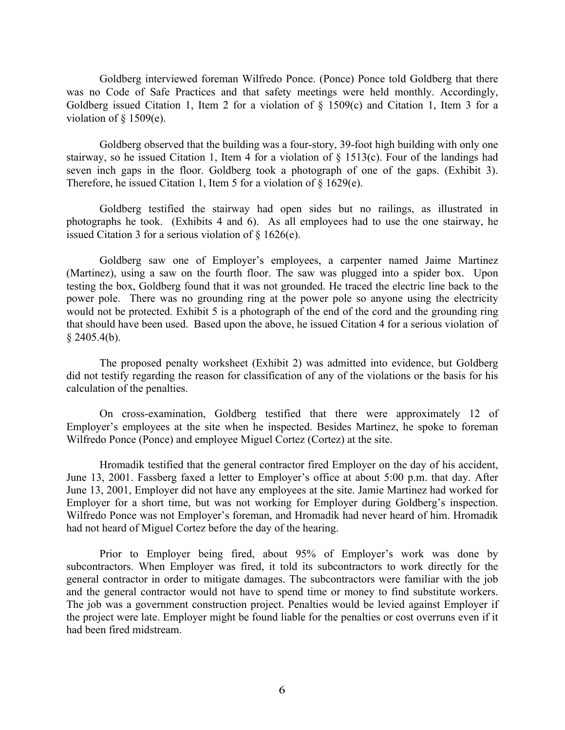Goldberg interviewed foreman Wilfredo Ponce. (Ponce) Ponce told Goldberg that there was no Code of Safe Practices and that safety meetings were held monthly. Accordingly, Goldberg issued Citation 1, Item 2 for a violation of § 1509(c) and Citation 1, Item 3 for a violation of  $§$  1509(e).

Goldberg observed that the building was a four-story, 39-foot high building with only one stairway, so he issued Citation 1, Item 4 for a violation of § 1513(c). Four of the landings had seven inch gaps in the floor. Goldberg took a photograph of one of the gaps. (Exhibit 3). Therefore, he issued Citation 1, Item 5 for a violation of § 1629(e).

Goldberg testified the stairway had open sides but no railings, as illustrated in photographs he took. (Exhibits 4 and 6). As all employees had to use the one stairway, he issued Citation 3 for a serious violation of § 1626(e).

Goldberg saw one of Employer's employees, a carpenter named Jaime Martinez (Martinez), using a saw on the fourth floor. The saw was plugged into a spider box. Upon testing the box, Goldberg found that it was not grounded. He traced the electric line back to the power pole. There was no grounding ring at the power pole so anyone using the electricity would not be protected. Exhibit 5 is a photograph of the end of the cord and the grounding ring that should have been used. Based upon the above, he issued Citation 4 for a serious violation of  $§$  2405.4(b).

The proposed penalty worksheet (Exhibit 2) was admitted into evidence, but Goldberg did not testify regarding the reason for classification of any of the violations or the basis for his calculation of the penalties.

On cross-examination, Goldberg testified that there were approximately 12 of Employer's employees at the site when he inspected. Besides Martinez, he spoke to foreman Wilfredo Ponce (Ponce) and employee Miguel Cortez (Cortez) at the site.

Hromadik testified that the general contractor fired Employer on the day of his accident, June 13, 2001. Fassberg faxed a letter to Employer's office at about 5:00 p.m. that day. After June 13, 2001, Employer did not have any employees at the site. Jamie Martinez had worked for Employer for a short time, but was not working for Employer during Goldberg's inspection. Wilfredo Ponce was not Employer's foreman, and Hromadik had never heard of him. Hromadik had not heard of Miguel Cortez before the day of the hearing.

Prior to Employer being fired, about 95% of Employer's work was done by subcontractors. When Employer was fired, it told its subcontractors to work directly for the general contractor in order to mitigate damages. The subcontractors were familiar with the job and the general contractor would not have to spend time or money to find substitute workers. The job was a government construction project. Penalties would be levied against Employer if the project were late. Employer might be found liable for the penalties or cost overruns even if it had been fired midstream.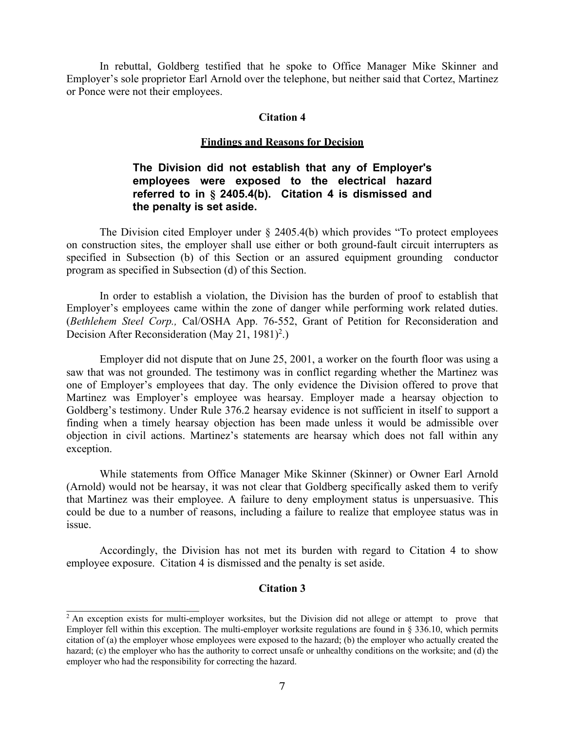In rebuttal, Goldberg testified that he spoke to Office Manager Mike Skinner and Employer's sole proprietor Earl Arnold over the telephone, but neither said that Cortez, Martinez or Ponce were not their employees.

#### **Citation 4**

#### **Findings and Reasons for Decision**

## **The Division did not establish that any of Employer's employees were exposed to the electrical hazard referred to in § 2405.4(b). Citation 4 is dismissed and the penalty is set aside.**

The Division cited Employer under § 2405.4(b) which provides "To protect employees on construction sites, the employer shall use either or both ground-fault circuit interrupters as specified in Subsection (b) of this Section or an assured equipment grounding conductor program as specified in Subsection (d) of this Section.

In order to establish a violation, the Division has the burden of proof to establish that Employer's employees came within the zone of danger while performing work related duties. (*Bethlehem Steel Corp.,* Cal/OSHA App. 76-552, Grant of Petition for Reconsideration and Decision After Reconsideration (May 21, 1981)<sup>2</sup>.)

Employer did not dispute that on June 25, 2001, a worker on the fourth floor was using a saw that was not grounded. The testimony was in conflict regarding whether the Martinez was one of Employer's employees that day. The only evidence the Division offered to prove that Martinez was Employer's employee was hearsay. Employer made a hearsay objection to Goldberg's testimony. Under Rule 376.2 hearsay evidence is not sufficient in itself to support a finding when a timely hearsay objection has been made unless it would be admissible over objection in civil actions. Martinez's statements are hearsay which does not fall within any exception.

While statements from Office Manager Mike Skinner (Skinner) or Owner Earl Arnold (Arnold) would not be hearsay, it was not clear that Goldberg specifically asked them to verify that Martinez was their employee. A failure to deny employment status is unpersuasive. This could be due to a number of reasons, including a failure to realize that employee status was in issue.

Accordingly, the Division has not met its burden with regard to Citation 4 to show employee exposure. Citation 4 is dismissed and the penalty is set aside.

### **Citation 3**

<sup>&</sup>lt;sup>2</sup> An exception exists for multi-employer worksites, but the Division did not allege or attempt to prove that Employer fell within this exception. The multi-employer worksite regulations are found in  $\S$  336.10, which permits citation of (a) the employer whose employees were exposed to the hazard; (b) the employer who actually created the hazard; (c) the employer who has the authority to correct unsafe or unhealthy conditions on the worksite; and (d) the employer who had the responsibility for correcting the hazard.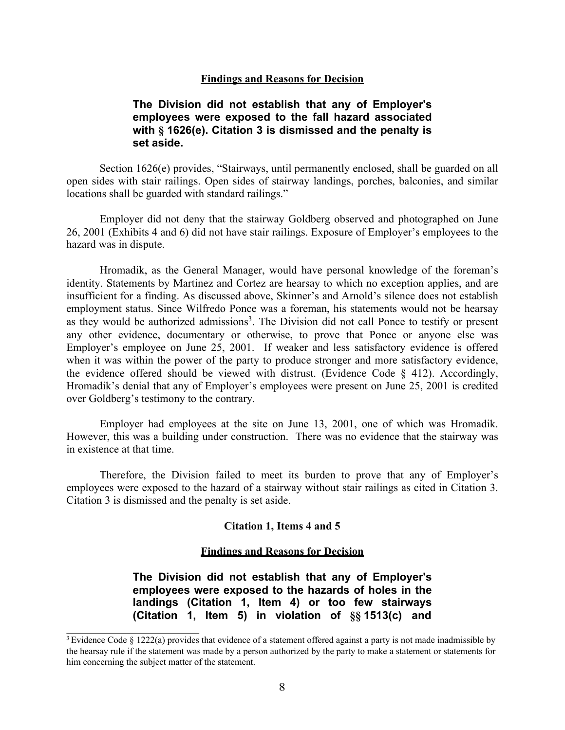#### **Findings and Reasons for Decision**

## **The Division did not establish that any of Employer's employees were exposed to the fall hazard associated with § 1626(e). Citation 3 is dismissed and the penalty is set aside.**

Section 1626(e) provides, "Stairways, until permanently enclosed, shall be guarded on all open sides with stair railings. Open sides of stairway landings, porches, balconies, and similar locations shall be guarded with standard railings."

Employer did not deny that the stairway Goldberg observed and photographed on June 26, 2001 (Exhibits 4 and 6) did not have stair railings. Exposure of Employer's employees to the hazard was in dispute.

Hromadik, as the General Manager, would have personal knowledge of the foreman's identity. Statements by Martinez and Cortez are hearsay to which no exception applies, and are insufficient for a finding. As discussed above, Skinner's and Arnold's silence does not establish employment status. Since Wilfredo Ponce was a foreman, his statements would not be hearsay as they would be authorized admissions<sup>3</sup>. The Division did not call Ponce to testify or present any other evidence, documentary or otherwise, to prove that Ponce or anyone else was Employer's employee on June 25, 2001. If weaker and less satisfactory evidence is offered when it was within the power of the party to produce stronger and more satisfactory evidence, the evidence offered should be viewed with distrust. (Evidence Code § 412). Accordingly, Hromadik's denial that any of Employer's employees were present on June 25, 2001 is credited over Goldberg's testimony to the contrary.

Employer had employees at the site on June 13, 2001, one of which was Hromadik. However, this was a building under construction. There was no evidence that the stairway was in existence at that time.

Therefore, the Division failed to meet its burden to prove that any of Employer's employees were exposed to the hazard of a stairway without stair railings as cited in Citation 3. Citation 3 is dismissed and the penalty is set aside.

#### **Citation 1, Items 4 and 5**

#### **Findings and Reasons for Decision**

**The Division did not establish that any of Employer's employees were exposed to the hazards of holes in the landings (Citation 1, Item 4) or too few stairways (Citation 1, Item 5) in violation of §§ 1513(c) and**

<sup>3</sup> Evidence Code § 1222(a) provides that evidence of a statement offered against a party is not made inadmissible by the hearsay rule if the statement was made by a person authorized by the party to make a statement or statements for him concerning the subject matter of the statement.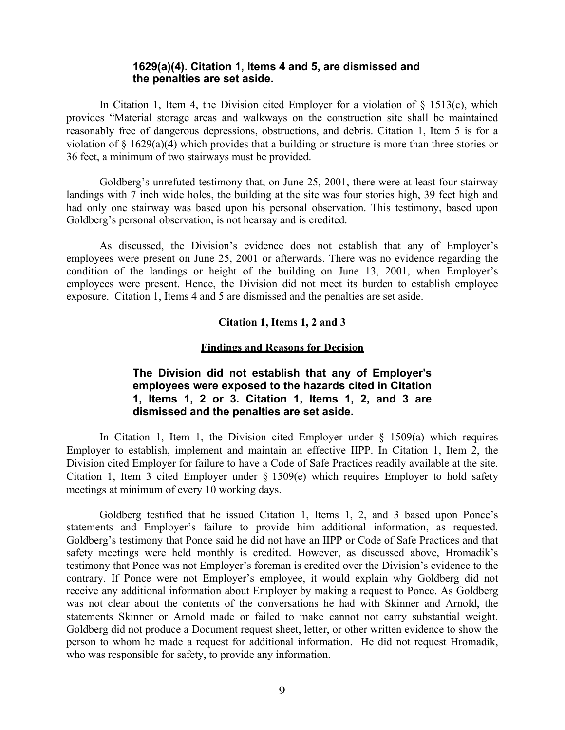### **1629(a)(4). Citation 1, Items 4 and 5, are dismissed and the penalties are set aside.**

In Citation 1, Item 4, the Division cited Employer for a violation of  $\S$  1513(c), which provides "Material storage areas and walkways on the construction site shall be maintained reasonably free of dangerous depressions, obstructions, and debris. Citation 1, Item 5 is for a violation of § 1629(a)(4) which provides that a building or structure is more than three stories or 36 feet, a minimum of two stairways must be provided.

Goldberg's unrefuted testimony that, on June 25, 2001, there were at least four stairway landings with 7 inch wide holes, the building at the site was four stories high, 39 feet high and had only one stairway was based upon his personal observation. This testimony, based upon Goldberg's personal observation, is not hearsay and is credited.

As discussed, the Division's evidence does not establish that any of Employer's employees were present on June 25, 2001 or afterwards. There was no evidence regarding the condition of the landings or height of the building on June 13, 2001, when Employer's employees were present. Hence, the Division did not meet its burden to establish employee exposure. Citation 1, Items 4 and 5 are dismissed and the penalties are set aside.

### **Citation 1, Items 1, 2 and 3**

#### **Findings and Reasons for Decision**

## **The Division did not establish that any of Employer's employees were exposed to the hazards cited in Citation 1, Items 1, 2 or 3. Citation 1, Items 1, 2, and 3 are dismissed and the penalties are set aside.**

In Citation 1, Item 1, the Division cited Employer under  $\S$  1509(a) which requires Employer to establish, implement and maintain an effective IIPP. In Citation 1, Item 2, the Division cited Employer for failure to have a Code of Safe Practices readily available at the site. Citation 1, Item 3 cited Employer under § 1509(e) which requires Employer to hold safety meetings at minimum of every 10 working days.

Goldberg testified that he issued Citation 1, Items 1, 2, and 3 based upon Ponce's statements and Employer's failure to provide him additional information, as requested. Goldberg's testimony that Ponce said he did not have an IIPP or Code of Safe Practices and that safety meetings were held monthly is credited. However, as discussed above, Hromadik's testimony that Ponce was not Employer's foreman is credited over the Division's evidence to the contrary. If Ponce were not Employer's employee, it would explain why Goldberg did not receive any additional information about Employer by making a request to Ponce. As Goldberg was not clear about the contents of the conversations he had with Skinner and Arnold, the statements Skinner or Arnold made or failed to make cannot not carry substantial weight. Goldberg did not produce a Document request sheet, letter, or other written evidence to show the person to whom he made a request for additional information. He did not request Hromadik, who was responsible for safety, to provide any information.